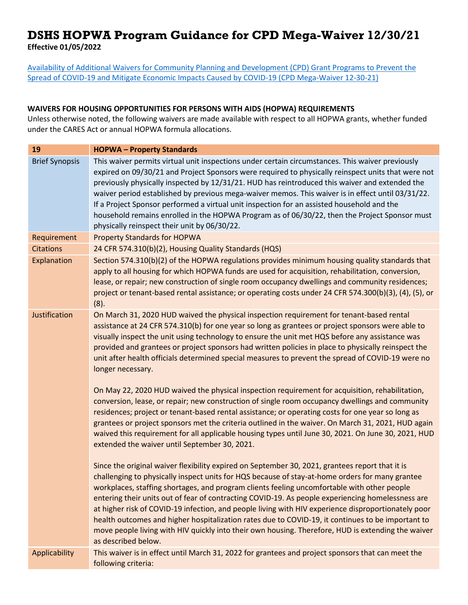## **DSHS HOPWA Program Guidance for CPD Mega-Waiver 12/30/21**

**Effective 01/05/2022** 

[Availability of Additional Waivers for Community Planning and Development \(CPD\) Grant Programs to Prevent the](https://www.hud.gov/sites/dfiles/CPD/documents/Additional_Waivers_CPD_COVID19_December_2021.pdf?utm_source=HUD+Exchange+Mailing+List&utm_campaign=80fc158019-COVID-19-Waivers_12.30.21&utm_medium=email&utm_term=0_f32b935a5f-80fc158019-19342361)  [Spread of COVID-19 and Mitigate Economic Impacts Caused by COVID-19 \(CPD Mega-Waiver 12-30-21\)](https://www.hud.gov/sites/dfiles/CPD/documents/Additional_Waivers_CPD_COVID19_December_2021.pdf?utm_source=HUD+Exchange+Mailing+List&utm_campaign=80fc158019-COVID-19-Waivers_12.30.21&utm_medium=email&utm_term=0_f32b935a5f-80fc158019-19342361)

## **WAIVERS FOR HOUSING OPPORTUNITIES FOR PERSONS WITH AIDS (HOPWA) REQUIREMENTS**

Unless otherwise noted, the following waivers are made available with respect to all HOPWA grants, whether funded under the CARES Act or annual HOPWA formula allocations.

| 19                    | <b>HOPWA-Property Standards</b>                                                                                                                                                                                                                                                                                                                                                                                                                                                                                                                                                                                                                                                                                                                                                                                                                                                                                                                                                                                                                                                                            |
|-----------------------|------------------------------------------------------------------------------------------------------------------------------------------------------------------------------------------------------------------------------------------------------------------------------------------------------------------------------------------------------------------------------------------------------------------------------------------------------------------------------------------------------------------------------------------------------------------------------------------------------------------------------------------------------------------------------------------------------------------------------------------------------------------------------------------------------------------------------------------------------------------------------------------------------------------------------------------------------------------------------------------------------------------------------------------------------------------------------------------------------------|
| <b>Brief Synopsis</b> | This waiver permits virtual unit inspections under certain circumstances. This waiver previously<br>expired on 09/30/21 and Project Sponsors were required to physically reinspect units that were not<br>previously physically inspected by 12/31/21. HUD has reintroduced this waiver and extended the<br>waiver period established by previous mega-waiver memos. This waiver is in effect until 03/31/22.<br>If a Project Sponsor performed a virtual unit inspection for an assisted household and the<br>household remains enrolled in the HOPWA Program as of 06/30/22, then the Project Sponsor must<br>physically reinspect their unit by 06/30/22.                                                                                                                                                                                                                                                                                                                                                                                                                                               |
| Requirement           | <b>Property Standards for HOPWA</b>                                                                                                                                                                                                                                                                                                                                                                                                                                                                                                                                                                                                                                                                                                                                                                                                                                                                                                                                                                                                                                                                        |
| <b>Citations</b>      | 24 CFR 574.310(b)(2), Housing Quality Standards (HQS)                                                                                                                                                                                                                                                                                                                                                                                                                                                                                                                                                                                                                                                                                                                                                                                                                                                                                                                                                                                                                                                      |
| Explanation           | Section 574.310(b)(2) of the HOPWA regulations provides minimum housing quality standards that<br>apply to all housing for which HOPWA funds are used for acquisition, rehabilitation, conversion,<br>lease, or repair; new construction of single room occupancy dwellings and community residences;<br>project or tenant-based rental assistance; or operating costs under 24 CFR 574.300(b)(3), (4), (5), or<br>(8).                                                                                                                                                                                                                                                                                                                                                                                                                                                                                                                                                                                                                                                                                    |
| Justification         | On March 31, 2020 HUD waived the physical inspection requirement for tenant-based rental<br>assistance at 24 CFR 574.310(b) for one year so long as grantees or project sponsors were able to<br>visually inspect the unit using technology to ensure the unit met HQS before any assistance was<br>provided and grantees or project sponsors had written policies in place to physically reinspect the<br>unit after health officials determined special measures to prevent the spread of COVID-19 were no<br>longer necessary.<br>On May 22, 2020 HUD waived the physical inspection requirement for acquisition, rehabilitation,<br>conversion, lease, or repair; new construction of single room occupancy dwellings and community<br>residences; project or tenant-based rental assistance; or operating costs for one year so long as<br>grantees or project sponsors met the criteria outlined in the waiver. On March 31, 2021, HUD again<br>waived this requirement for all applicable housing types until June 30, 2021. On June 30, 2021, HUD<br>extended the waiver until September 30, 2021. |
|                       | Since the original waiver flexibility expired on September 30, 2021, grantees report that it is<br>challenging to physically inspect units for HQS because of stay-at-home orders for many grantee<br>workplaces, staffing shortages, and program clients feeling uncomfortable with other people<br>entering their units out of fear of contracting COVID-19. As people experiencing homelessness are<br>at higher risk of COVID-19 infection, and people living with HIV experience disproportionately poor<br>health outcomes and higher hospitalization rates due to COVID-19, it continues to be important to<br>move people living with HIV quickly into their own housing. Therefore, HUD is extending the waiver<br>as described below.                                                                                                                                                                                                                                                                                                                                                            |
| Applicability         | This waiver is in effect until March 31, 2022 for grantees and project sponsors that can meet the<br>following criteria:                                                                                                                                                                                                                                                                                                                                                                                                                                                                                                                                                                                                                                                                                                                                                                                                                                                                                                                                                                                   |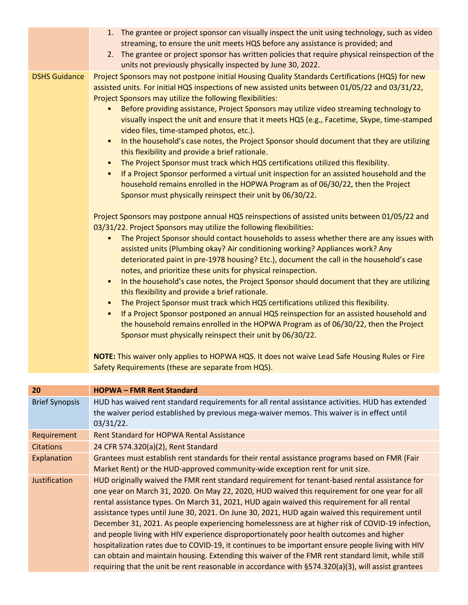|                       | 1. The grantee or project sponsor can visually inspect the unit using technology, such as video<br>streaming, to ensure the unit meets HQS before any assistance is provided; and<br>2. The grantee or project sponsor has written policies that require physical reinspection of the<br>units not previously physically inspected by June 30, 2022.                                                                                                                                                                                                                                                                                                                                                                                                                                                                                                                                                                                                                                                                                                                                                                                                                                                                                                                                                                                                                                                                                                                                                                                                                                                                                                                                                                                                                                                                                                                                                                                                                                                                                                                                                                                                                                                                            |
|-----------------------|---------------------------------------------------------------------------------------------------------------------------------------------------------------------------------------------------------------------------------------------------------------------------------------------------------------------------------------------------------------------------------------------------------------------------------------------------------------------------------------------------------------------------------------------------------------------------------------------------------------------------------------------------------------------------------------------------------------------------------------------------------------------------------------------------------------------------------------------------------------------------------------------------------------------------------------------------------------------------------------------------------------------------------------------------------------------------------------------------------------------------------------------------------------------------------------------------------------------------------------------------------------------------------------------------------------------------------------------------------------------------------------------------------------------------------------------------------------------------------------------------------------------------------------------------------------------------------------------------------------------------------------------------------------------------------------------------------------------------------------------------------------------------------------------------------------------------------------------------------------------------------------------------------------------------------------------------------------------------------------------------------------------------------------------------------------------------------------------------------------------------------------------------------------------------------------------------------------------------------|
| <b>DSHS Guidance</b>  | Project Sponsors may not postpone initial Housing Quality Standards Certifications (HQS) for new<br>assisted units. For initial HQS inspections of new assisted units between 01/05/22 and 03/31/22,<br>Project Sponsors may utilize the following flexibilities:<br>Before providing assistance, Project Sponsors may utilize video streaming technology to<br>visually inspect the unit and ensure that it meets HQS (e.g., Facetime, Skype, time-stamped<br>video files, time-stamped photos, etc.).<br>In the household's case notes, the Project Sponsor should document that they are utilizing<br>$\bullet$<br>this flexibility and provide a brief rationale.<br>The Project Sponsor must track which HQS certifications utilized this flexibility.<br>$\bullet$<br>If a Project Sponsor performed a virtual unit inspection for an assisted household and the<br>$\bullet$<br>household remains enrolled in the HOPWA Program as of 06/30/22, then the Project<br>Sponsor must physically reinspect their unit by 06/30/22.<br>Project Sponsors may postpone annual HQS reinspections of assisted units between 01/05/22 and<br>03/31/22. Project Sponsors may utilize the following flexibilities:<br>The Project Sponsor should contact households to assess whether there are any issues with<br>assisted units (Plumbing okay? Air conditioning working? Appliances work? Any<br>deteriorated paint in pre-1978 housing? Etc.), document the call in the household's case<br>notes, and prioritize these units for physical reinspection.<br>In the household's case notes, the Project Sponsor should document that they are utilizing<br>$\bullet$<br>this flexibility and provide a brief rationale.<br>The Project Sponsor must track which HQS certifications utilized this flexibility.<br>If a Project Sponsor postponed an annual HQS reinspection for an assisted household and<br>$\bullet$<br>the household remains enrolled in the HOPWA Program as of 06/30/22, then the Project<br>Sponsor must physically reinspect their unit by 06/30/22.<br>NOTE: This waiver only applies to HOPWA HQS. It does not waive Lead Safe Housing Rules or Fire<br>Safety Requirements (these are separate from HQS). |
| 20                    | <b>HOPWA - FMR Rent Standard</b>                                                                                                                                                                                                                                                                                                                                                                                                                                                                                                                                                                                                                                                                                                                                                                                                                                                                                                                                                                                                                                                                                                                                                                                                                                                                                                                                                                                                                                                                                                                                                                                                                                                                                                                                                                                                                                                                                                                                                                                                                                                                                                                                                                                                |
| <b>Brief Synopsis</b> | HUD has waived rent standard requirements for all rental assistance activities. HUD has extended<br>the waiver period established by previous mega-waiver memos. This waiver is in effect until<br>$03/31/22$ .                                                                                                                                                                                                                                                                                                                                                                                                                                                                                                                                                                                                                                                                                                                                                                                                                                                                                                                                                                                                                                                                                                                                                                                                                                                                                                                                                                                                                                                                                                                                                                                                                                                                                                                                                                                                                                                                                                                                                                                                                 |
| Requirement           | <b>Rent Standard for HOPWA Rental Assistance</b>                                                                                                                                                                                                                                                                                                                                                                                                                                                                                                                                                                                                                                                                                                                                                                                                                                                                                                                                                                                                                                                                                                                                                                                                                                                                                                                                                                                                                                                                                                                                                                                                                                                                                                                                                                                                                                                                                                                                                                                                                                                                                                                                                                                |
| <b>Citations</b>      | 24 CFR 574.320(a)(2), Rent Standard                                                                                                                                                                                                                                                                                                                                                                                                                                                                                                                                                                                                                                                                                                                                                                                                                                                                                                                                                                                                                                                                                                                                                                                                                                                                                                                                                                                                                                                                                                                                                                                                                                                                                                                                                                                                                                                                                                                                                                                                                                                                                                                                                                                             |
| Explanation           | Grantees must establish rent standards for their rental assistance programs based on FMR (Fair                                                                                                                                                                                                                                                                                                                                                                                                                                                                                                                                                                                                                                                                                                                                                                                                                                                                                                                                                                                                                                                                                                                                                                                                                                                                                                                                                                                                                                                                                                                                                                                                                                                                                                                                                                                                                                                                                                                                                                                                                                                                                                                                  |

Market Rent) or the HUD-approved community-wide exception rent for unit size.

Justification HUD originally waived the FMR rent standard requirement for tenant-based rental assistance for one year on March 31, 2020. On May 22, 2020, HUD waived this requirement for one year for all rental assistance types. On March 31, 2021, HUD again waived this requirement for all rental assistance types until June 30, 2021. On June 30, 2021, HUD again waived this requirement until December 31, 2021. As people experiencing homelessness are at higher risk of COVID-19 infection, and people living with HIV experience disproportionately poor health outcomes and higher hospitalization rates due to COVID-19, it continues to be important ensure people living with HIV can obtain and maintain housing. Extending this waiver of the FMR rent standard limit, while still requiring that the unit be rent reasonable in accordance with §574.320(a)(3), will assist grantees